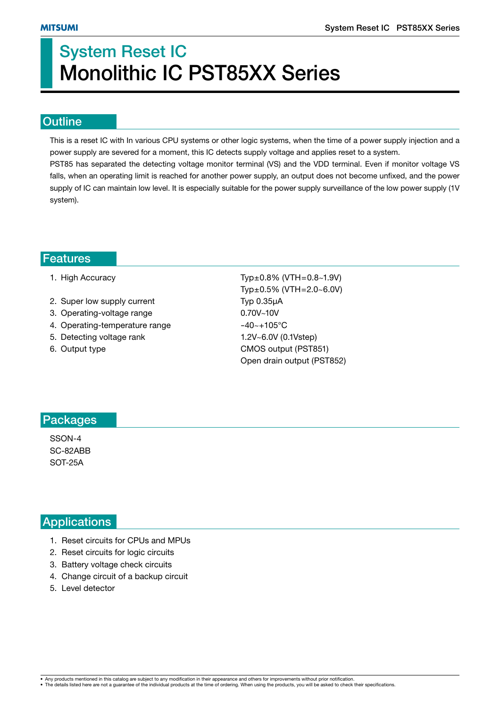# **System Reset IC Monolithic IC PST85XX Series**

#### **Outline**

This is a reset IC with In various CPU systems or other logic systems, when the time of a power supply injection and a power supply are severed for a moment, this IC detects supply voltage and applies reset to a system.

PST85 has separated the detecting voltage monitor terminal (VS) and the VDD terminal. Even if monitor voltage VS falls, when an operating limit is reached for another power supply, an output does not become unfixed, and the power supply of IC can maintain low level. It is especially suitable for the power supply surveillance of the low power supply (1V system).

#### **Features**

|  |  | 1. High Accuracy |
|--|--|------------------|
|--|--|------------------|

- 2. Super low supply current Typ 0.35µA
- 3. Operating-voltage range 0.70V~10V
- 4. Operating-temperature range  $-40-105$ °C
- 5. Detecting voltage rank 1.2V~6.0V (0.1Vstep)
- 

 $Typ±0.8\%$  (VTH=0.8~1.9V) Typ±0.5% (VTH=2.0~6.0V) 6. Output type CMOS output (PST851) Open drain output (PST852)

### **Packages**

SSON-4 SC-82ABB SOT-25A

## **Applications**

- 1. Reset circuits for CPUs and MPUs
- 2. Reset circuits for logic circuits
- 3. Battery voltage check circuits
- 4. Change circuit of a backup circuit
- 5. Level detector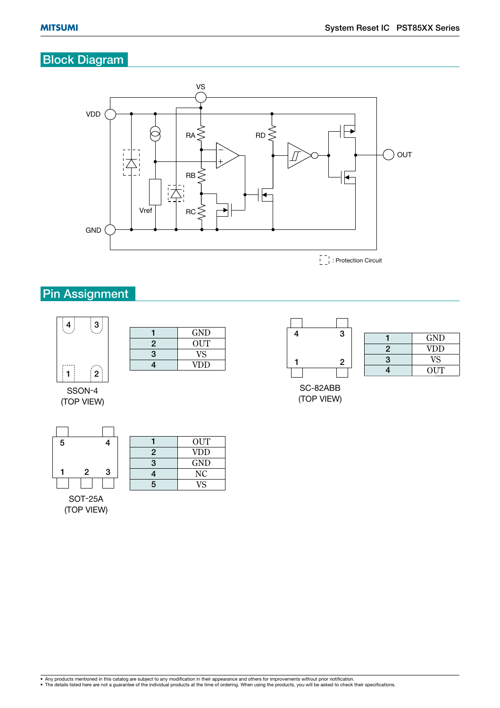# **Block Diagram**



**Pin Assignment** 



|   | GND        |
|---|------------|
| 2 | OUT        |
| 3 | VS         |
|   | <b>VDD</b> |

SSON-4 (TOP VIEW)



1 OUT **2** VDD **2** VDD **3** GND **4** NC

SOT-25A (TOP VIEW)

| 3 | <b>GND</b> |
|---|------------|
| 4 | <b>NC</b>  |
| 5 | VS         |
|   |            |

| 3              |
|----------------|
|                |
|                |
|                |
| $\overline{2}$ |
|                |
|                |

|   | າ |    |            |
|---|---|----|------------|
| Ź |   |    | <b>GND</b> |
|   |   | ٠, | <b>VDD</b> |
|   | 2 | a  | VS.        |
|   |   |    | <b>OUT</b> |

SC-82ABB (TOP VIEW)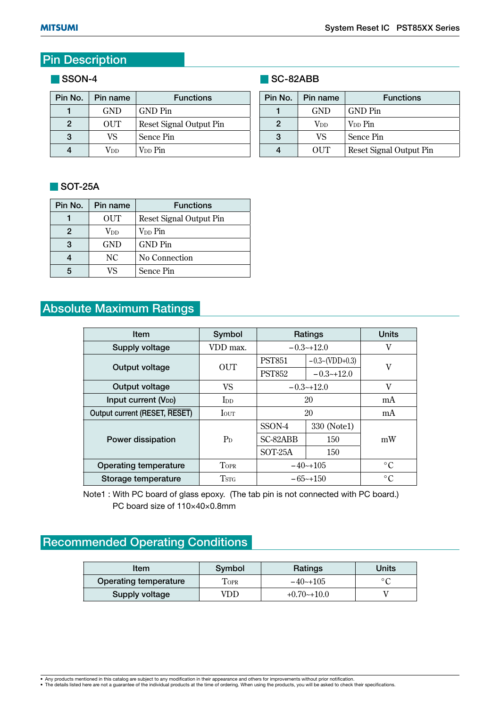# **Pin Description**

#### **SSON-4**

| Pin No. | Pin name   | <b>Functions</b>        |
|---------|------------|-------------------------|
|         | <b>GND</b> | GND Pin                 |
| 2       | OUT        | Reset Signal Output Pin |
| 3       | VS         | Sence Pin               |
|         | Vnn        | V <sub>DD</sub> Pin     |

### **SOT-25A**

| Pin No. | Pin name                | <b>Functions</b>        |
|---------|-------------------------|-------------------------|
|         | <b>OUT</b>              | Reset Signal Output Pin |
| 2       | $\operatorname{V_{DD}}$ | V <sub>DD</sub> Pin     |
| 3       | <b>GND</b>              | <b>GND</b> Pin          |
|         | NC.                     | No Connection           |
|         | VS                      | Sence Pin               |

# **Absolute Maximum Ratings**

| <b>Item</b>                   | Symbol          | Ratings       |                  | <b>Units</b>    |  |
|-------------------------------|-----------------|---------------|------------------|-----------------|--|
| Supply voltage                | VDD max.        | $-0.3-12.0$   |                  | V               |  |
|                               | OUT             | <b>PST851</b> | $-0.3-(VDD+0.3)$ |                 |  |
| Output voltage                |                 | <b>PST852</b> | $-0.3-12.0$      | V               |  |
| Output voltage                | VS              | $-0.3-12.0$   |                  | V               |  |
| Input current $(V_{DD})$      | I <sub>DD</sub> | 20            |                  | mA              |  |
| Output current (RESET, RESET) | <b>I</b> OUT    | 20            |                  | mA              |  |
|                               |                 | SSON-4        | 330 (Note1)      |                 |  |
| Power dissipation             | $P_D$           | SC-82ABB      | 150              | mW              |  |
|                               |                 | $SOT-25A$     | 150              |                 |  |
| Operating temperature         | <b>TOPR</b>     | $-40$ $-105$  |                  | $\rm ^{\circ}C$ |  |
| Storage temperature           | <b>TSTG</b>     | $-65$ ~+150   |                  | $\rm ^{\circ}C$ |  |

Note1 : With PC board of glass epoxy. (The tab pin is not connected with PC board.) PC board size of 110×40×0.8mm

# **Recommended Operating Conditions**

| ltem                         | Symbol | Ratings      | Units          |  |
|------------------------------|--------|--------------|----------------|--|
| <b>Operating temperature</b> | Topr   | $-40$ $-105$ | $\circ$ $\cap$ |  |
| Supply voltage               | 'DD-   | $+0.70-10.0$ |                |  |

### **SC-82ABB**

| Pin No. | Pin name   | <b>Functions</b>        |
|---------|------------|-------------------------|
|         | <b>GND</b> | GND Pin                 |
| 2       | Vnn        | V <sub>DD</sub> Pin     |
| VS.     |            | Sence Pin               |
|         | OUT        | Reset Signal Output Pin |

<sup>•</sup> Any products mentioned in this catalog are subject to any modification in their appearance and others for improvements without prior notification.<br>• The details listed here are not a guarantee of the individual products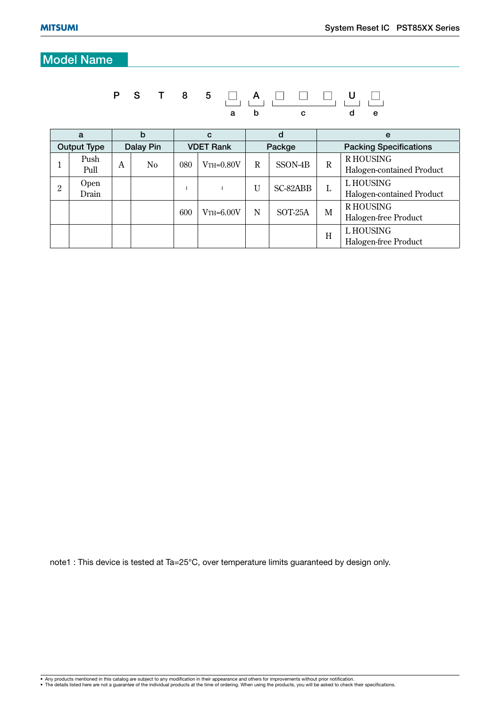# **Model Name**

# **P S T 8 5 A U a b c d e**

| a                  |               |           | b              |                  | C               |        | d        |                               | e                                            |  |  |
|--------------------|---------------|-----------|----------------|------------------|-----------------|--------|----------|-------------------------------|----------------------------------------------|--|--|
| <b>Output Type</b> |               | Dalay Pin |                | <b>VDET Rank</b> |                 | Packge |          | <b>Packing Specifications</b> |                                              |  |  |
|                    | Push<br>Pull  | A         | N <sub>0</sub> | 080              | $V$ TH= $0.80V$ | R      | SSON-4B  | R                             | <b>RHOUSING</b><br>Halogen-contained Product |  |  |
| 2                  | Open<br>Drain |           |                |                  |                 | U      | SC-82ABB | L                             | L HOUSING<br>Halogen-contained Product       |  |  |
|                    |               |           |                | 600              | $V$ TH= $6.00V$ | N      | SOT-25A  | M                             | R HOUSING<br>Halogen-free Product            |  |  |
|                    |               |           |                |                  |                 |        |          | H                             | L HOUSING<br>Halogen-free Product            |  |  |

note1 : This device is tested at Ta=25°C, over temperature limits guaranteed by design only.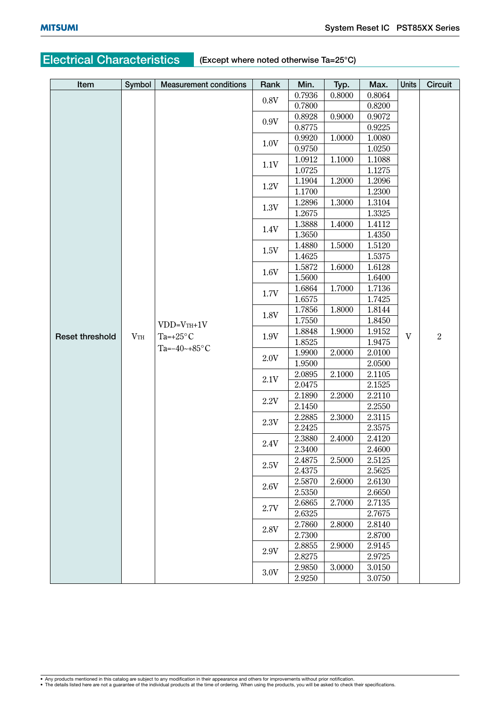# **Electrical Characteristics (Except where noted otherwise Ta=25°C)**

| Item                   | Symbol          | <b>Measurement conditions</b> | Rank | Min.                       | Typ.   | Max.   | <b>Units</b> | Circuit        |
|------------------------|-----------------|-------------------------------|------|----------------------------|--------|--------|--------------|----------------|
|                        |                 |                               |      | 0.7936                     | 0.8000 | 0.8064 |              |                |
|                        |                 |                               | 0.8V | 0.7800                     |        | 0.8200 |              |                |
|                        |                 |                               |      | 0.8928                     | 0.9000 | 0.9072 |              |                |
|                        |                 |                               | 0.9V | 0.8775                     |        | 0.9225 |              |                |
|                        |                 |                               |      | 0.9920                     | 1.0000 | 1.0080 |              |                |
|                        |                 |                               | 1.0V | 0.9750                     |        | 1.0250 |              |                |
|                        |                 |                               |      | 1.0912<br>1.1000<br>1.1088 |        |        |              |                |
|                        |                 |                               | 1.1V | 1.0725                     |        | 1.1275 |              |                |
|                        |                 |                               |      | 1.1904                     | 1.2000 | 1.2096 |              |                |
|                        |                 |                               | 1.2V | 1.1700                     |        | 1.2300 |              |                |
|                        |                 |                               |      | 1.2896                     | 1.3000 | 1.3104 |              |                |
|                        |                 |                               | 1.3V | 1.2675                     |        | 1.3325 |              |                |
|                        |                 |                               |      | 1.3888                     | 1.4000 | 1.4112 |              |                |
|                        |                 |                               | 1.4V | 1.3650                     |        | 1.4350 |              |                |
|                        |                 |                               |      | 1.4880                     | 1.5000 | 1.5120 |              |                |
|                        |                 |                               | 1.5V | 1.4625                     |        | 1.5375 |              |                |
|                        |                 |                               |      | 1.5872                     | 1.6000 | 1.6128 |              |                |
|                        |                 |                               | 1.6V | 1.5600                     |        | 1.6400 |              |                |
|                        |                 |                               |      | 1.6864                     | 1.7000 | 1.7136 |              | $\overline{2}$ |
|                        |                 |                               | 1.7V | 1.6575                     |        | 1.7425 |              |                |
|                        |                 |                               |      | 1.7856                     | 1.8000 | 1.8144 |              |                |
|                        |                 | $VDD=VTH+1V$                  | 1.8V | 1.7550                     |        | 1.8450 |              |                |
| <b>Reset threshold</b> | V <sub>TH</sub> | Ta=+25 $\rm{^{\circ}C}$       | 1.9V | 1.8848                     | 1.9000 | 1.9152 | $\mathbf{V}$ |                |
|                        |                 |                               |      | 1.8525                     |        | 1.9475 |              |                |
|                        |                 | Ta= $-40$ ~+85°C              | 2.0V | 1.9900                     | 2.0000 | 2.0100 |              |                |
|                        |                 |                               |      | 1.9500                     |        | 2.0500 |              |                |
|                        |                 |                               | 2.1V | 2.0895                     | 2.1000 | 2.1105 |              |                |
|                        |                 |                               |      | 2.0475                     |        | 2.1525 |              |                |
|                        |                 |                               | 2.2V | 2.1890                     | 2.2000 | 2.2110 |              |                |
|                        |                 |                               |      | 2.1450                     |        | 2.2550 |              |                |
|                        |                 |                               | 2.3V | 2.2885                     | 2.3000 | 2.3115 |              |                |
|                        |                 |                               |      | 2.2425                     |        | 2.3575 |              |                |
|                        |                 |                               | 2.4V | 2.3880                     | 2.4000 | 2.4120 |              |                |
|                        |                 |                               |      | 2.3400                     |        | 2.4600 |              |                |
|                        |                 |                               | 2.5V | 2.4875                     | 2.5000 | 2.5125 |              |                |
|                        |                 |                               |      | 2.4375                     |        | 2.5625 |              |                |
|                        |                 |                               | 2.6V | 2.5870                     | 2.6000 | 2.6130 |              |                |
|                        |                 |                               |      | 2.5350                     |        | 2.6650 |              |                |
|                        |                 |                               | 2.7V | 2.6865                     | 2.7000 | 2.7135 |              |                |
|                        |                 |                               |      | 2.6325                     |        | 2.7675 |              |                |
|                        |                 |                               | 2.8V | 2.7860                     | 2.8000 | 2.8140 |              |                |
|                        |                 |                               |      | 2.7300                     |        | 2.8700 |              |                |
|                        |                 |                               | 2.9V | 2.8855                     | 2.9000 | 2.9145 |              |                |
|                        |                 |                               |      | 2.8275                     |        | 2.9725 |              |                |
|                        |                 |                               | 3.0V | 2.9850                     | 3.0000 | 3.0150 |              |                |
|                        |                 |                               |      | 2.9250                     |        | 3.0750 |              |                |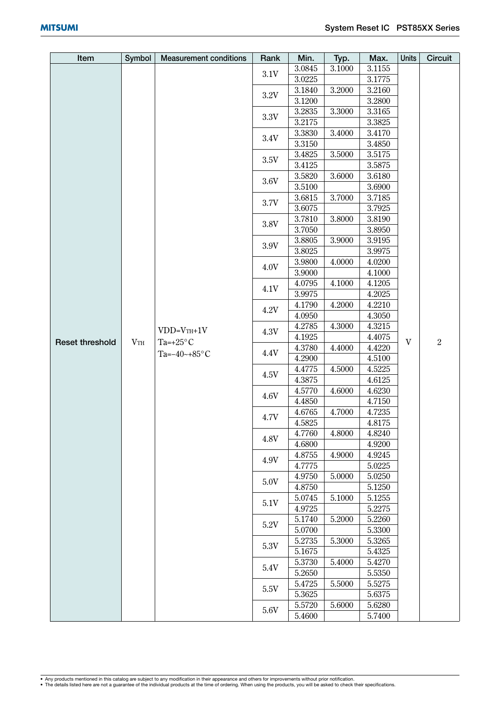| Item<br>Symbol<br><b>Measurement conditions</b><br>Rank<br>Min.    | Typ.   | Max.             | <b>Units</b> | <b>Circuit</b> |
|--------------------------------------------------------------------|--------|------------------|--------------|----------------|
| 3.0845                                                             | 3.1000 | 3.1155           |              |                |
| 3.1V<br>3.0225                                                     |        | 3.1775           |              |                |
| 3.1840                                                             | 3.2000 | 3.2160           |              |                |
| $3.2\mathrm{V}$<br>3.1200                                          |        | 3.2800           |              |                |
| 3.2835                                                             | 3.3000 | 3.3165           |              |                |
| $3.3\mathrm{V}$<br>3.2175                                          |        | 3.3825           |              |                |
| 3.3830                                                             | 3.4000 | 3.4170           |              |                |
| 3.4V<br>3.3150                                                     |        | 3.4850           |              |                |
| 3.4825                                                             | 3.5000 | 3.5175           |              |                |
| 3.5V<br>3.4125                                                     |        | 3.5875           |              |                |
| $3.5820\,$<br>3.6V                                                 | 3.6000 | 3.6180           |              |                |
| 3.5100                                                             |        | 3.6900           |              |                |
| 3.6815<br>3.7V                                                     | 3.7000 | 3.7185           |              |                |
| 3.6075                                                             |        | 3.7925           |              |                |
| 3.7810<br>3.8V                                                     | 3.8000 | 3.8190           |              |                |
| 3.7050                                                             |        | 3.8950           |              |                |
| 3.8805<br>3.9V                                                     | 3.9000 | 3.9195           |              |                |
| 3.8025                                                             |        | 3.9975           |              |                |
| 3.9800<br>4.0V                                                     | 4.0000 | 4.0200           |              |                |
| 3.9000                                                             |        | 4.1000           |              |                |
| 4.0795<br>4.1V                                                     | 4.1000 | 4.1205           |              |                |
| 3.9975                                                             |        | 4.2025           |              |                |
| 4.1790<br>4.2V                                                     | 4.2000 | 4.2210           |              |                |
| 4.0950                                                             |        | 4.3050           |              |                |
| 4.2785<br>$VDD=VTH+1V$<br>4.3V                                     | 4.3000 | 4.3215           | V            | $\overline{2}$ |
| 4.1925<br><b>Reset threshold</b><br>Ta=+25 $\rm{^{\circ}C}$<br>VTH |        | 4.4075           |              |                |
| 4.3780<br>4.4V<br>Ta= $-40$ ~+85°C                                 | 4.4000 | 4.4220           |              |                |
| 4.2900                                                             |        | 4.5100           |              |                |
| 4.4775<br>4.5V                                                     | 4.5000 | 4.5225           |              |                |
| 4.3875                                                             |        | 4.6125           |              |                |
| 4.5770<br>4.6V                                                     | 4.6000 | 4.6230           |              |                |
| 4.4850                                                             |        | 4.7150           |              |                |
| 4.6765<br>4.7V                                                     | 4.7000 | 4.7235           |              |                |
| 4.5825                                                             |        | 4.8175           |              |                |
| 4.7760<br>4.8V                                                     | 4.8000 | 4.8240           |              |                |
| 4.6800                                                             |        | 4.9200           |              |                |
| 4.8755<br>4.9V<br>4.7775                                           | 4.9000 | 4.9245<br>5.0225 |              |                |
| 4.9750                                                             | 5.0000 | 5.0250           |              |                |
| 5.0V<br>4.8750                                                     |        | 5.1250           |              |                |
| 5.0745                                                             | 5.1000 | 5.1255           |              |                |
| 5.1V<br>4.9725                                                     |        | 5.2275           |              |                |
| 5.1740                                                             | 5.2000 | 5.2260           |              |                |
| 5.2V<br>5.0700                                                     |        | 5.3300           |              |                |
| 5.2735                                                             | 5.3000 | 5.3265           |              |                |
| 5.3V<br>5.1675                                                     |        | 5.4325           |              |                |
| 5.3730                                                             | 5.4000 | 5.4270           |              |                |
| 5.4V<br>5.2650                                                     |        | 5.5350           |              |                |
| 5.4725                                                             | 5.5000 | 5.5275           |              |                |
| 5.5V<br>5.3625                                                     |        | 5.6375           |              |                |
| 5.5720                                                             | 5.6000 | 5.6280           |              |                |
| 5.6V<br>5.4600                                                     |        | 5.7400           |              |                |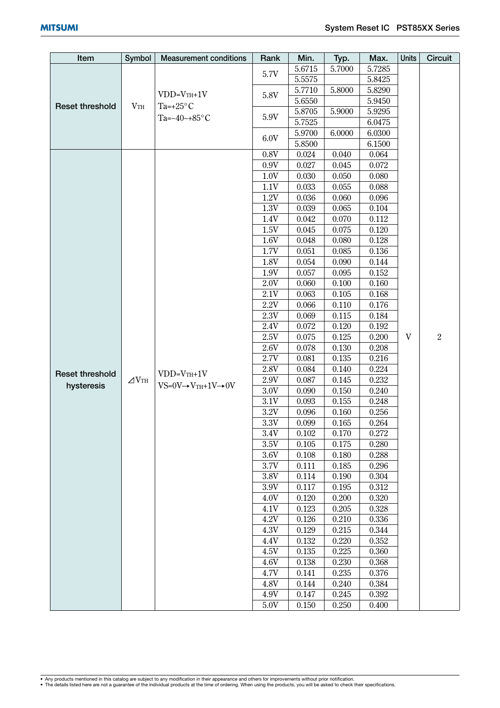| Symbol<br>Typ.<br>5.7285<br>5.6715<br>5.7000<br>5.7V<br>5.5575<br>5.8425<br>5.7710<br>5.8000<br>5.8290<br>$VDD=VTH+1V$<br>5.8V<br>5.6550<br>5.9450<br><b>Reset threshold</b><br>$V_{\rm TH}$<br>Ta=+25 $\mathrm{^{\circ}C}$<br>5.8705<br>5.9000<br>5.9295<br>5.9V<br>Ta= $-40$ ~+85°C<br>5.7525<br>6.0475<br>6.0300<br>5.9700<br>6.0000<br>6.0V<br>5.8500<br>6.1500<br>0.8V<br>0.040<br>0.024<br>0.064<br>$0.9\mathrm{V}$<br>0.027<br>0.045<br>0.072<br>1.0V<br>0.030<br>0.050<br>0.080<br>1.1V<br>0.033<br>0.055<br>0.088<br>1.2V<br>0.036<br>0.060<br>0.096<br>1.3V<br>0.039<br>0.065<br>0.104<br>0.042<br>0.112<br>1.4V<br>0.070<br>1.5V<br>0.045<br>0.075<br>0.120<br>1.6V<br>0.048<br>0.080<br>0.128<br>0.136<br>1.7V<br>0.051<br>0.085<br>1.8V<br>0.054<br>0.090<br>0.144<br>1.9V<br>0.057<br>0.152<br>0.095<br>2.0V<br>0.060<br>0.100<br>0.160<br>2.1V<br>0.063<br>0.105<br>0.168<br>2.2V<br>0.176<br>0.066<br>0.110<br>$2.3\mathrm{V}$<br>0.184<br>0.069<br>0.115<br>2.4V<br>0.072<br>0.120<br>0.192<br>$\overline{2}$<br>$\mathbf{V}$<br>0.075<br>0.125<br>0.200<br>2.5V<br>2.6V<br>0.078<br>0.130<br>0.208<br>2.7V<br>0.081<br>0.135<br>0.216<br>2.8V<br>0.084<br>0.140<br>0.224<br><b>Reset threshold</b><br>$VDD=VTH+1V$<br>$\Delta V$ th<br>2.9V<br>0.087<br>0.145<br>0.232<br>hysteresis<br>$VS=0V \rightarrow VTH+1V \rightarrow 0V$<br>3.0V<br>0.090<br>0.150<br>0.240<br>$3.1\mathrm{V}$<br>0.093<br>0.155<br>0.248<br>$3.2\mathrm{V}$<br>0.256<br>0.096<br>0.160<br>$3.3\mathrm{V}$<br>0.264<br>0.099<br>0.165<br>0.170<br>$3.4\mathrm{V}$<br>0.102<br>0.272<br>3.5V<br>0.105<br>0.175<br>0.280<br>3.6V<br>0.108<br>0.180<br>0.288<br>$3.7\mathrm{V}$<br>0.111<br>0.185<br>0.296 |
|----------------------------------------------------------------------------------------------------------------------------------------------------------------------------------------------------------------------------------------------------------------------------------------------------------------------------------------------------------------------------------------------------------------------------------------------------------------------------------------------------------------------------------------------------------------------------------------------------------------------------------------------------------------------------------------------------------------------------------------------------------------------------------------------------------------------------------------------------------------------------------------------------------------------------------------------------------------------------------------------------------------------------------------------------------------------------------------------------------------------------------------------------------------------------------------------------------------------------------------------------------------------------------------------------------------------------------------------------------------------------------------------------------------------------------------------------------------------------------------------------------------------------------------------------------------------------------------------------------------------------------------------------------------------------------------------------|
|                                                                                                                                                                                                                                                                                                                                                                                                                                                                                                                                                                                                                                                                                                                                                                                                                                                                                                                                                                                                                                                                                                                                                                                                                                                                                                                                                                                                                                                                                                                                                                                                                                                                                                    |
|                                                                                                                                                                                                                                                                                                                                                                                                                                                                                                                                                                                                                                                                                                                                                                                                                                                                                                                                                                                                                                                                                                                                                                                                                                                                                                                                                                                                                                                                                                                                                                                                                                                                                                    |
|                                                                                                                                                                                                                                                                                                                                                                                                                                                                                                                                                                                                                                                                                                                                                                                                                                                                                                                                                                                                                                                                                                                                                                                                                                                                                                                                                                                                                                                                                                                                                                                                                                                                                                    |
|                                                                                                                                                                                                                                                                                                                                                                                                                                                                                                                                                                                                                                                                                                                                                                                                                                                                                                                                                                                                                                                                                                                                                                                                                                                                                                                                                                                                                                                                                                                                                                                                                                                                                                    |
|                                                                                                                                                                                                                                                                                                                                                                                                                                                                                                                                                                                                                                                                                                                                                                                                                                                                                                                                                                                                                                                                                                                                                                                                                                                                                                                                                                                                                                                                                                                                                                                                                                                                                                    |
|                                                                                                                                                                                                                                                                                                                                                                                                                                                                                                                                                                                                                                                                                                                                                                                                                                                                                                                                                                                                                                                                                                                                                                                                                                                                                                                                                                                                                                                                                                                                                                                                                                                                                                    |
|                                                                                                                                                                                                                                                                                                                                                                                                                                                                                                                                                                                                                                                                                                                                                                                                                                                                                                                                                                                                                                                                                                                                                                                                                                                                                                                                                                                                                                                                                                                                                                                                                                                                                                    |
|                                                                                                                                                                                                                                                                                                                                                                                                                                                                                                                                                                                                                                                                                                                                                                                                                                                                                                                                                                                                                                                                                                                                                                                                                                                                                                                                                                                                                                                                                                                                                                                                                                                                                                    |
|                                                                                                                                                                                                                                                                                                                                                                                                                                                                                                                                                                                                                                                                                                                                                                                                                                                                                                                                                                                                                                                                                                                                                                                                                                                                                                                                                                                                                                                                                                                                                                                                                                                                                                    |
|                                                                                                                                                                                                                                                                                                                                                                                                                                                                                                                                                                                                                                                                                                                                                                                                                                                                                                                                                                                                                                                                                                                                                                                                                                                                                                                                                                                                                                                                                                                                                                                                                                                                                                    |
|                                                                                                                                                                                                                                                                                                                                                                                                                                                                                                                                                                                                                                                                                                                                                                                                                                                                                                                                                                                                                                                                                                                                                                                                                                                                                                                                                                                                                                                                                                                                                                                                                                                                                                    |
|                                                                                                                                                                                                                                                                                                                                                                                                                                                                                                                                                                                                                                                                                                                                                                                                                                                                                                                                                                                                                                                                                                                                                                                                                                                                                                                                                                                                                                                                                                                                                                                                                                                                                                    |
|                                                                                                                                                                                                                                                                                                                                                                                                                                                                                                                                                                                                                                                                                                                                                                                                                                                                                                                                                                                                                                                                                                                                                                                                                                                                                                                                                                                                                                                                                                                                                                                                                                                                                                    |
|                                                                                                                                                                                                                                                                                                                                                                                                                                                                                                                                                                                                                                                                                                                                                                                                                                                                                                                                                                                                                                                                                                                                                                                                                                                                                                                                                                                                                                                                                                                                                                                                                                                                                                    |
|                                                                                                                                                                                                                                                                                                                                                                                                                                                                                                                                                                                                                                                                                                                                                                                                                                                                                                                                                                                                                                                                                                                                                                                                                                                                                                                                                                                                                                                                                                                                                                                                                                                                                                    |
|                                                                                                                                                                                                                                                                                                                                                                                                                                                                                                                                                                                                                                                                                                                                                                                                                                                                                                                                                                                                                                                                                                                                                                                                                                                                                                                                                                                                                                                                                                                                                                                                                                                                                                    |
|                                                                                                                                                                                                                                                                                                                                                                                                                                                                                                                                                                                                                                                                                                                                                                                                                                                                                                                                                                                                                                                                                                                                                                                                                                                                                                                                                                                                                                                                                                                                                                                                                                                                                                    |
|                                                                                                                                                                                                                                                                                                                                                                                                                                                                                                                                                                                                                                                                                                                                                                                                                                                                                                                                                                                                                                                                                                                                                                                                                                                                                                                                                                                                                                                                                                                                                                                                                                                                                                    |
|                                                                                                                                                                                                                                                                                                                                                                                                                                                                                                                                                                                                                                                                                                                                                                                                                                                                                                                                                                                                                                                                                                                                                                                                                                                                                                                                                                                                                                                                                                                                                                                                                                                                                                    |
|                                                                                                                                                                                                                                                                                                                                                                                                                                                                                                                                                                                                                                                                                                                                                                                                                                                                                                                                                                                                                                                                                                                                                                                                                                                                                                                                                                                                                                                                                                                                                                                                                                                                                                    |
|                                                                                                                                                                                                                                                                                                                                                                                                                                                                                                                                                                                                                                                                                                                                                                                                                                                                                                                                                                                                                                                                                                                                                                                                                                                                                                                                                                                                                                                                                                                                                                                                                                                                                                    |
|                                                                                                                                                                                                                                                                                                                                                                                                                                                                                                                                                                                                                                                                                                                                                                                                                                                                                                                                                                                                                                                                                                                                                                                                                                                                                                                                                                                                                                                                                                                                                                                                                                                                                                    |
|                                                                                                                                                                                                                                                                                                                                                                                                                                                                                                                                                                                                                                                                                                                                                                                                                                                                                                                                                                                                                                                                                                                                                                                                                                                                                                                                                                                                                                                                                                                                                                                                                                                                                                    |
|                                                                                                                                                                                                                                                                                                                                                                                                                                                                                                                                                                                                                                                                                                                                                                                                                                                                                                                                                                                                                                                                                                                                                                                                                                                                                                                                                                                                                                                                                                                                                                                                                                                                                                    |
|                                                                                                                                                                                                                                                                                                                                                                                                                                                                                                                                                                                                                                                                                                                                                                                                                                                                                                                                                                                                                                                                                                                                                                                                                                                                                                                                                                                                                                                                                                                                                                                                                                                                                                    |
|                                                                                                                                                                                                                                                                                                                                                                                                                                                                                                                                                                                                                                                                                                                                                                                                                                                                                                                                                                                                                                                                                                                                                                                                                                                                                                                                                                                                                                                                                                                                                                                                                                                                                                    |
|                                                                                                                                                                                                                                                                                                                                                                                                                                                                                                                                                                                                                                                                                                                                                                                                                                                                                                                                                                                                                                                                                                                                                                                                                                                                                                                                                                                                                                                                                                                                                                                                                                                                                                    |
|                                                                                                                                                                                                                                                                                                                                                                                                                                                                                                                                                                                                                                                                                                                                                                                                                                                                                                                                                                                                                                                                                                                                                                                                                                                                                                                                                                                                                                                                                                                                                                                                                                                                                                    |
|                                                                                                                                                                                                                                                                                                                                                                                                                                                                                                                                                                                                                                                                                                                                                                                                                                                                                                                                                                                                                                                                                                                                                                                                                                                                                                                                                                                                                                                                                                                                                                                                                                                                                                    |
|                                                                                                                                                                                                                                                                                                                                                                                                                                                                                                                                                                                                                                                                                                                                                                                                                                                                                                                                                                                                                                                                                                                                                                                                                                                                                                                                                                                                                                                                                                                                                                                                                                                                                                    |
|                                                                                                                                                                                                                                                                                                                                                                                                                                                                                                                                                                                                                                                                                                                                                                                                                                                                                                                                                                                                                                                                                                                                                                                                                                                                                                                                                                                                                                                                                                                                                                                                                                                                                                    |
|                                                                                                                                                                                                                                                                                                                                                                                                                                                                                                                                                                                                                                                                                                                                                                                                                                                                                                                                                                                                                                                                                                                                                                                                                                                                                                                                                                                                                                                                                                                                                                                                                                                                                                    |
|                                                                                                                                                                                                                                                                                                                                                                                                                                                                                                                                                                                                                                                                                                                                                                                                                                                                                                                                                                                                                                                                                                                                                                                                                                                                                                                                                                                                                                                                                                                                                                                                                                                                                                    |
|                                                                                                                                                                                                                                                                                                                                                                                                                                                                                                                                                                                                                                                                                                                                                                                                                                                                                                                                                                                                                                                                                                                                                                                                                                                                                                                                                                                                                                                                                                                                                                                                                                                                                                    |
|                                                                                                                                                                                                                                                                                                                                                                                                                                                                                                                                                                                                                                                                                                                                                                                                                                                                                                                                                                                                                                                                                                                                                                                                                                                                                                                                                                                                                                                                                                                                                                                                                                                                                                    |
|                                                                                                                                                                                                                                                                                                                                                                                                                                                                                                                                                                                                                                                                                                                                                                                                                                                                                                                                                                                                                                                                                                                                                                                                                                                                                                                                                                                                                                                                                                                                                                                                                                                                                                    |
|                                                                                                                                                                                                                                                                                                                                                                                                                                                                                                                                                                                                                                                                                                                                                                                                                                                                                                                                                                                                                                                                                                                                                                                                                                                                                                                                                                                                                                                                                                                                                                                                                                                                                                    |
|                                                                                                                                                                                                                                                                                                                                                                                                                                                                                                                                                                                                                                                                                                                                                                                                                                                                                                                                                                                                                                                                                                                                                                                                                                                                                                                                                                                                                                                                                                                                                                                                                                                                                                    |
| 3.8V<br>0.114<br>0.190<br>0.304                                                                                                                                                                                                                                                                                                                                                                                                                                                                                                                                                                                                                                                                                                                                                                                                                                                                                                                                                                                                                                                                                                                                                                                                                                                                                                                                                                                                                                                                                                                                                                                                                                                                    |
| 0.312<br>3.9V<br>0.117<br>0.195                                                                                                                                                                                                                                                                                                                                                                                                                                                                                                                                                                                                                                                                                                                                                                                                                                                                                                                                                                                                                                                                                                                                                                                                                                                                                                                                                                                                                                                                                                                                                                                                                                                                    |
| 0.120<br>0.200<br>0.320<br>4.0V                                                                                                                                                                                                                                                                                                                                                                                                                                                                                                                                                                                                                                                                                                                                                                                                                                                                                                                                                                                                                                                                                                                                                                                                                                                                                                                                                                                                                                                                                                                                                                                                                                                                    |
| 0.123<br>0.205<br>0.328<br>4.1V                                                                                                                                                                                                                                                                                                                                                                                                                                                                                                                                                                                                                                                                                                                                                                                                                                                                                                                                                                                                                                                                                                                                                                                                                                                                                                                                                                                                                                                                                                                                                                                                                                                                    |
| 0.126<br>4.2V<br>0.210<br>0.336                                                                                                                                                                                                                                                                                                                                                                                                                                                                                                                                                                                                                                                                                                                                                                                                                                                                                                                                                                                                                                                                                                                                                                                                                                                                                                                                                                                                                                                                                                                                                                                                                                                                    |
| 4.3V<br>0.129<br>0.215<br>0.344                                                                                                                                                                                                                                                                                                                                                                                                                                                                                                                                                                                                                                                                                                                                                                                                                                                                                                                                                                                                                                                                                                                                                                                                                                                                                                                                                                                                                                                                                                                                                                                                                                                                    |
| 0.132<br>0.220<br>0.352<br>4.4V                                                                                                                                                                                                                                                                                                                                                                                                                                                                                                                                                                                                                                                                                                                                                                                                                                                                                                                                                                                                                                                                                                                                                                                                                                                                                                                                                                                                                                                                                                                                                                                                                                                                    |
| 0.135<br>0.225<br>0.360<br>4.5V                                                                                                                                                                                                                                                                                                                                                                                                                                                                                                                                                                                                                                                                                                                                                                                                                                                                                                                                                                                                                                                                                                                                                                                                                                                                                                                                                                                                                                                                                                                                                                                                                                                                    |
| 0.230<br>4.6V<br>0.138<br>0.368                                                                                                                                                                                                                                                                                                                                                                                                                                                                                                                                                                                                                                                                                                                                                                                                                                                                                                                                                                                                                                                                                                                                                                                                                                                                                                                                                                                                                                                                                                                                                                                                                                                                    |
| 0.235<br>0.141<br>0.376<br>4.7V                                                                                                                                                                                                                                                                                                                                                                                                                                                                                                                                                                                                                                                                                                                                                                                                                                                                                                                                                                                                                                                                                                                                                                                                                                                                                                                                                                                                                                                                                                                                                                                                                                                                    |
| 0.240<br>0.384<br>4.8V<br>0.144<br>0.245<br>0.392<br>4.9V                                                                                                                                                                                                                                                                                                                                                                                                                                                                                                                                                                                                                                                                                                                                                                                                                                                                                                                                                                                                                                                                                                                                                                                                                                                                                                                                                                                                                                                                                                                                                                                                                                          |
| 0.147<br>$5.0\mathrm{V}$<br>0.150<br>0.250<br>0.400                                                                                                                                                                                                                                                                                                                                                                                                                                                                                                                                                                                                                                                                                                                                                                                                                                                                                                                                                                                                                                                                                                                                                                                                                                                                                                                                                                                                                                                                                                                                                                                                                                                |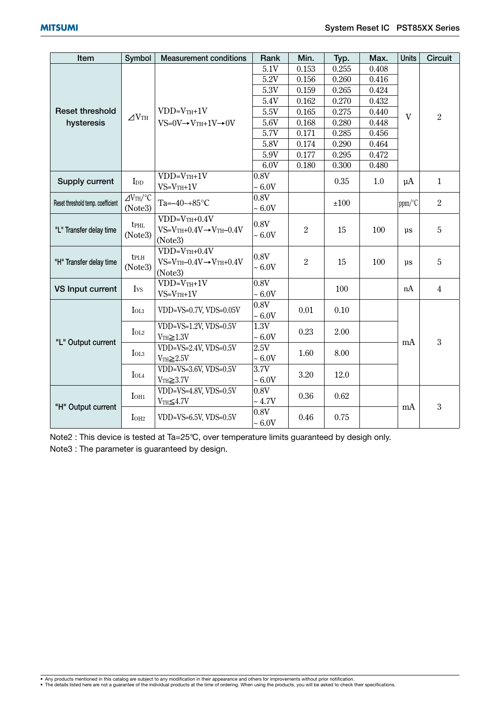| Item                                 | Symbol                                    | <b>Measurement conditions</b>             | Rank                | Min.             | Typ.  | Max.  | <b>Units</b> | <b>Circuit</b> |
|--------------------------------------|-------------------------------------------|-------------------------------------------|---------------------|------------------|-------|-------|--------------|----------------|
|                                      |                                           |                                           | 5.1V                | 0.153            | 0.255 | 0.408 |              | $\overline{2}$ |
|                                      |                                           |                                           | 5.2V                | 0.156            | 0.260 | 0.416 |              |                |
| <b>Reset threshold</b><br>hysteresis |                                           |                                           | 5.3V                | 0.159            | 0.265 | 0.424 | $\mathbf{V}$ |                |
|                                      | $\triangle$ VTH                           |                                           | 5.4V                | 0.162            | 0.270 | 0.432 |              |                |
|                                      |                                           | $VDD=VTH+1V$                              | 5.5V                | 0.165            | 0.275 | 0.440 |              |                |
|                                      |                                           | $VS=0V \rightarrow VTH+1V \rightarrow 0V$ | 5.6V                | 0.168            | 0.280 | 0.448 |              |                |
|                                      |                                           |                                           | 5.7V                | 0.171            | 0.285 | 0.456 |              |                |
|                                      |                                           |                                           | 5.8V                | 0.174            | 0.290 | 0.464 |              |                |
|                                      |                                           |                                           | 5.9V                | 0.177            | 0.295 | 0.472 |              |                |
|                                      |                                           |                                           | 6.0V                | 0.180            | 0.300 | 0.480 |              |                |
|                                      |                                           | $VDD=V_{TH}+1V$                           | $0.8\mathrm{V}$     |                  | 0.35  |       | $\mu$ A      | $\mathbf{1}$   |
| Supply current                       | $\mathop{\mathrm{IDD}}$                   | $VS = V_{TH} + 1V$                        | $\sim 6.0 \text{V}$ |                  |       | 1.0   |              |                |
|                                      | $\angle$ VTH/°C                           | Ta= $-40$ ~+85°C                          | 0.8V                |                  |       |       |              | $\overline{2}$ |
| Reset threshold temp. coefficient    | (Note3)                                   |                                           | $\sim 6.0 V$        |                  | ±100  |       | ppm/°C       |                |
|                                      | <b>t</b> PHL<br>(Note3)                   | $VDD=VTH+0.4V$                            | 0.8V                |                  | 15    | 100   | μs           | 5              |
| "L" Transfer delay time              |                                           | $VS = VTH + 0.4V \rightarrow VTH - 0.4V$  |                     | $\overline{2}$   |       |       |              |                |
|                                      |                                           | (Note3)                                   | $\sim 6.0 V$        |                  |       |       |              |                |
| "H" Transfer delay time              | tplh<br>(Note3)                           | $VDD=VTH+0.4V$                            | 0.8V                | $\boldsymbol{2}$ | 15    | 100   | μs           | 5              |
|                                      |                                           | $VS = VTH - 0.4V \rightarrow VTH + 0.4V$  | $\sim 6.0 \text{V}$ |                  |       |       |              |                |
|                                      |                                           | (Note3)                                   |                     |                  |       |       |              |                |
| <b>VS Input current</b>              | Ivs                                       | $VDD=VTH+1V$                              | 0.8V                |                  | 100   |       | nA           | $\overline{4}$ |
|                                      |                                           | $VS = VTH + 1V$                           | $\sim 6.0 \text{V}$ |                  |       |       |              |                |
| "L" Output current                   | $I_{OL1}$                                 | VDD=VS=0.7V, VDS=0.05V                    | 0.8V                | 0.01             | 0.10  |       | mA           | 3              |
|                                      |                                           |                                           | $\sim 6.0 \text{V}$ |                  |       |       |              |                |
|                                      | $I_{OL2}$                                 | VDD=VS=1.2V, VDS=0.5V                     | 1.3V                | 0.23             | 2.00  |       |              |                |
|                                      |                                           | $VTH \geq 1.3V$                           | $\sim 6.0 \text{V}$ |                  |       |       |              |                |
|                                      | IOL <sub>3</sub>                          | VDD=VS=2.4V, VDS=0.5V                     | 2.5V                | 1.60             | 8.00  |       |              |                |
|                                      |                                           | $VTH \geq 2.5V$                           | $\sim 6.0 \text{V}$ |                  |       |       |              |                |
|                                      | <b>I</b> OL4                              | $VDD=VS=3.6V, VDS=0.5V$                   | 3.7V                | 3.20             | 12.0  |       |              |                |
|                                      |                                           | $VTH \geq 3.7V$                           | $\sim 6.0 \text{V}$ |                  |       |       |              |                |
| "H" Output current                   | $I$ OH <sub>1</sub>                       | VDD=VS=4.8V, VDS=0.5V                     | 0.8V                | 0.36             | 0.62  |       | mA           | 3              |
|                                      |                                           | $VTH \leq 4.7V$                           | $\sim 4.7 \text{V}$ |                  |       |       |              |                |
|                                      | IOH <sub>2</sub><br>VDD=VS=6.5V, VDS=0.5V |                                           | 0.8V                | 0.46             | 0.75  |       |              |                |
|                                      |                                           |                                           | $\sim 6.0 V$        |                  |       |       |              |                |

Note2 : This device is tested at Ta=25°C, over temperature limits guaranteed by desigh only. Note3 : The parameter is guaranteed by design.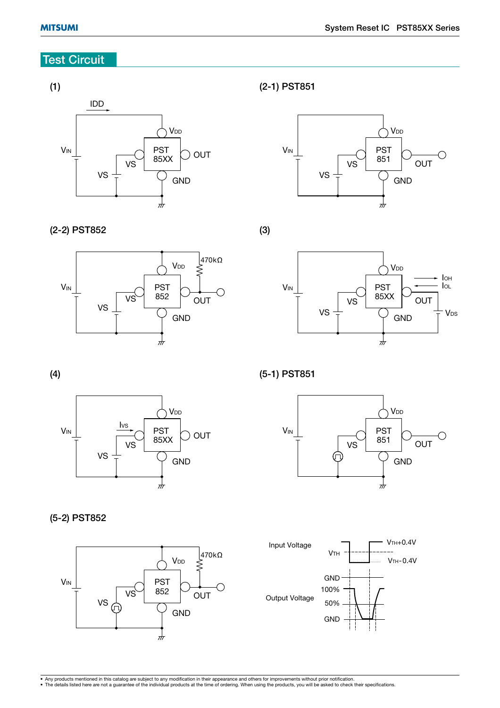# **Test Circuit**

#### **(1)**



#### **(2-1) PST851**



**(2-2) PST852**



**(3)**



**(4)**



**(5-1) PST851**



**(5-2) PST852**



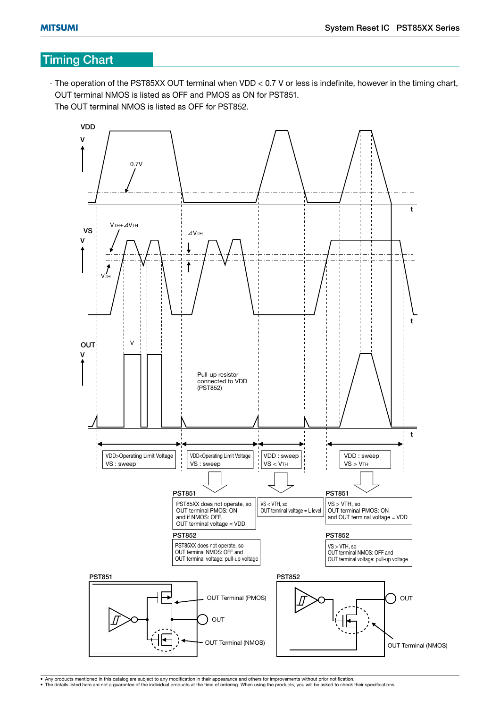# **Timing Chart**

· The operation of the PST85XX OUT terminal when VDD < 0.7 V or less is indefinite, however in the timing chart, OUT terminal NMOS is listed as OFF and PMOS as ON for PST851. The OUT terminal NMOS is listed as OFF for PST852.

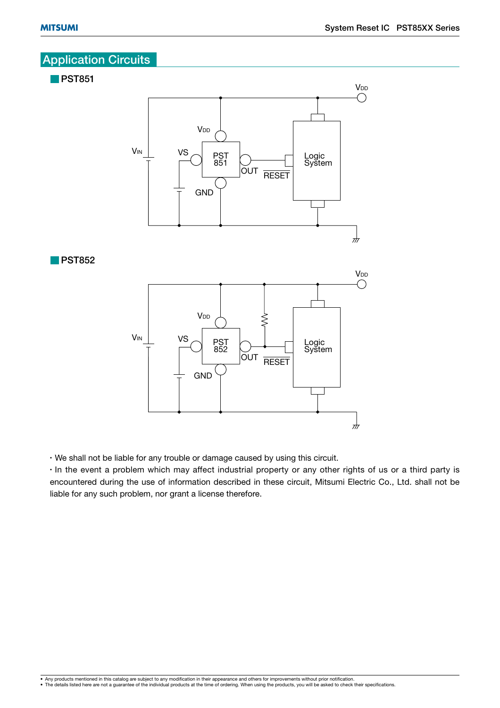# **Application Circuits**



• We shall not be liable for any trouble or damage caused by using this circuit.

• In the event a problem which may affect industrial property or any other rights of us or a third party is encountered during the use of information described in these circuit, Mitsumi Electric Co., Ltd. shall not be liable for any such problem, nor grant a license therefore.

 $\pi$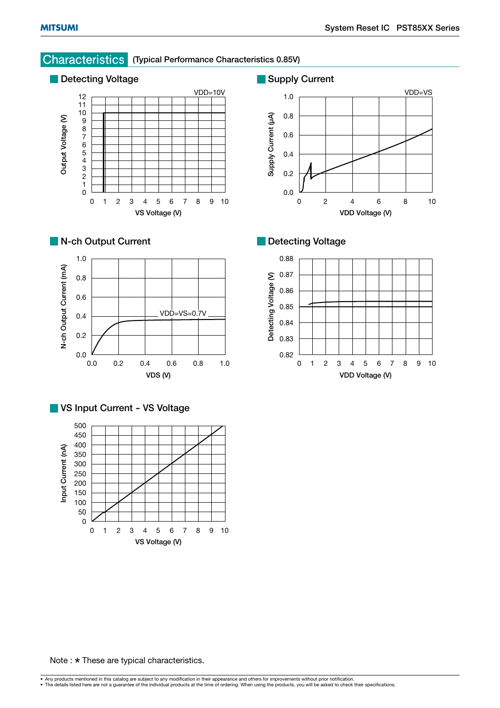# **Characteristics (Typical Performance Characteristics 0.85V)**











**VDD Voltage (V)**





Note :  $\star$  These are typical characteristics.

• Any products mentioned in this catalog are subject to any modification in their appearance and others for improvements without prior notification.<br>• The details listed here are not a guarantee of the individual products